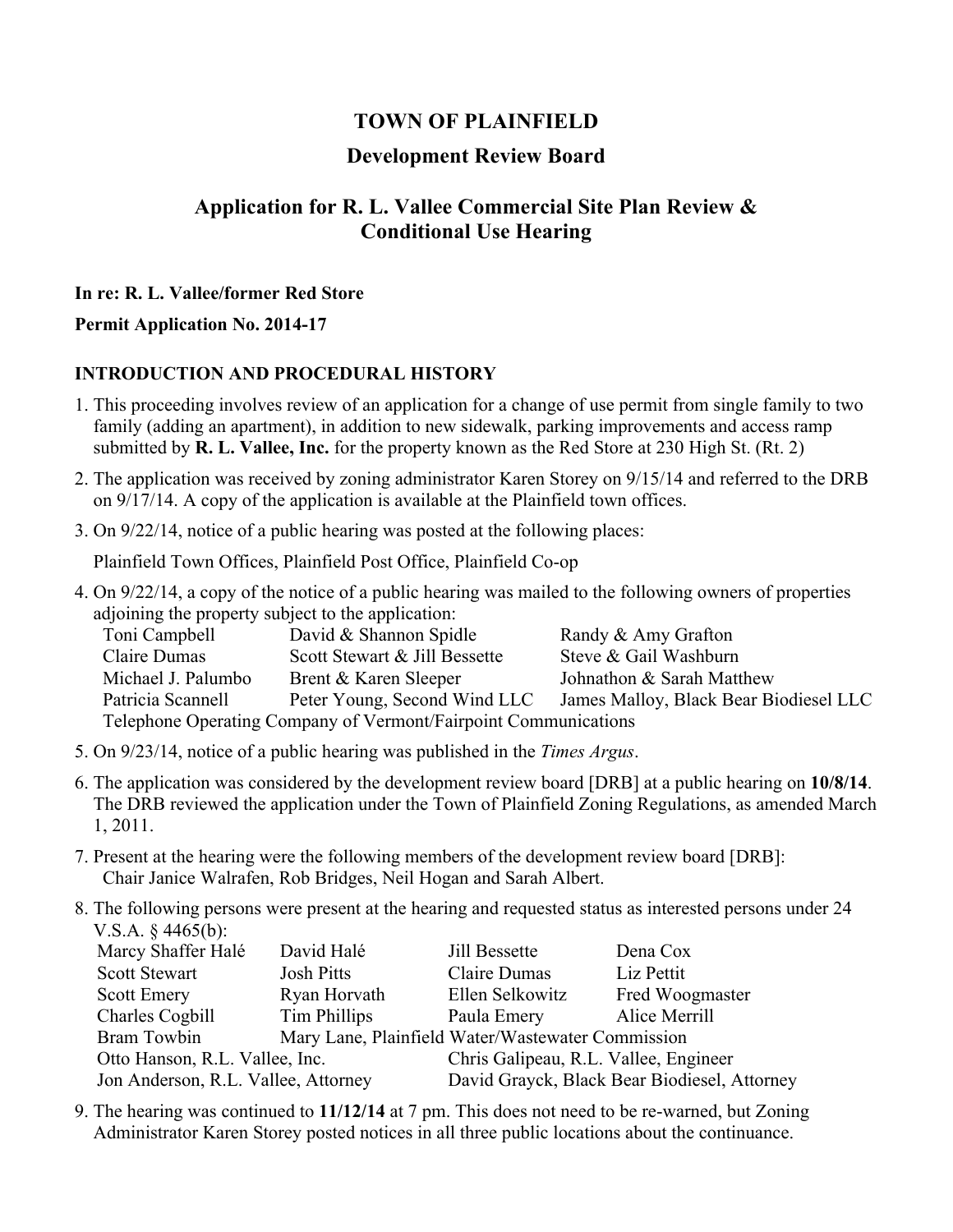# **TOWN OF PLAINFIELD**

## **Development Review Board**

# **Application for R. L. Vallee Commercial Site Plan Review & Conditional Use Hearing**

#### **In re: R. L. Vallee/former Red Store**

#### **Permit Application No. 2014-17**

#### **INTRODUCTION AND PROCEDURAL HISTORY**

- 1. This proceeding involves review of an application for a change of use permit from single family to two family (adding an apartment), in addition to new sidewalk, parking improvements and access ramp submitted by **R. L. Vallee, Inc.** for the property known as the Red Store at 230 High St. (Rt. 2)
- 2. The application was received by zoning administrator Karen Storey on 9/15/14 and referred to the DRB on 9/17/14. A copy of the application is available at the Plainfield town offices.
- 3. On 9/22/14, notice of a public hearing was posted at the following places:

Plainfield Town Offices, Plainfield Post Office, Plainfield Co-op

4. On 9/22/14, a copy of the notice of a public hearing was mailed to the following owners of properties adjoining the property subject to the application:

| Toni Campbell                                                   | David & Shannon Spidle        | Randy & Amy Grafton                    |  |  |  |
|-----------------------------------------------------------------|-------------------------------|----------------------------------------|--|--|--|
| Claire Dumas                                                    | Scott Stewart & Jill Bessette | Steve & Gail Washburn                  |  |  |  |
| Michael J. Palumbo                                              | Brent & Karen Sleeper         | Johnathon & Sarah Matthew              |  |  |  |
| Patricia Scannell                                               | Peter Young, Second Wind LLC  | James Malloy, Black Bear Biodiesel LLC |  |  |  |
| Telephone Operating Company of Vermont/Fairpoint Communications |                               |                                        |  |  |  |

- 5. On 9/23/14, notice of a public hearing was published in the *Times Argus*.
- 6. The application was considered by the development review board [DRB] at a public hearing on **10/8/14**. The DRB reviewed the application under the Town of Plainfield Zoning Regulations, as amended March 1, 2011.
- 7. Present at the hearing were the following members of the development review board [DRB]: Chair Janice Walrafen, Rob Bridges, Neil Hogan and Sarah Albert.
- 8. The following persons were present at the hearing and requested status as interested persons under 24 V.S.A. § 4465(b):

| Marcy Shaffer Halé                  | David Halé        | Jill Bessette                                     | Dena Cox        |  |
|-------------------------------------|-------------------|---------------------------------------------------|-----------------|--|
| Scott Stewart                       | <b>Josh Pitts</b> | Claire Dumas                                      | Liz Pettit      |  |
| <b>Scott Emery</b>                  | Ryan Horvath      | Ellen Selkowitz                                   | Fred Woogmaster |  |
| Charles Cogbill                     | Tim Phillips      | Paula Emery                                       | Alice Merrill   |  |
| Bram Towbin                         |                   | Mary Lane, Plainfield Water/Wastewater Commission |                 |  |
| Otto Hanson, R.L. Vallee, Inc.      |                   | Chris Galipeau, R.L. Vallee, Engineer             |                 |  |
| Jon Anderson, R.L. Vallee, Attorney |                   | David Grayck, Black Bear Biodiesel, Attorney      |                 |  |

9. The hearing was continued to **11/12/14** at 7 pm. This does not need to be re-warned, but Zoning Administrator Karen Storey posted notices in all three public locations about the continuance.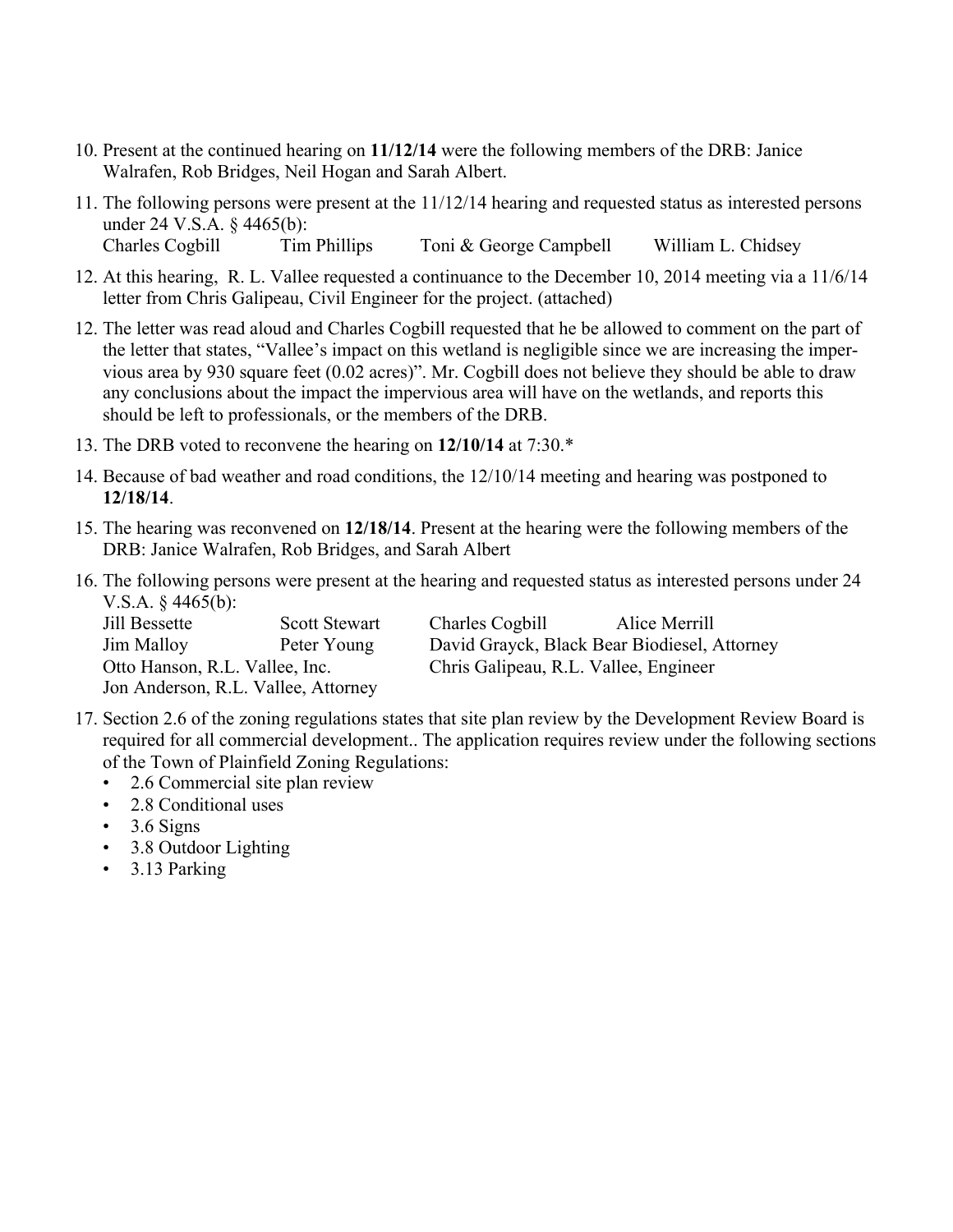- 10. Present at the continued hearing on **11/12/14** were the following members of the DRB: Janice Walrafen, Rob Bridges, Neil Hogan and Sarah Albert.
- 11. The following persons were present at the 11/12/14 hearing and requested status as interested persons under 24 V.S.A. § 4465(b): Charles Cogbill Tim Phillips Toni & George Campbell William L. Chidsey
- 12. At this hearing, R. L. Vallee requested a continuance to the December 10, 2014 meeting via a 11/6/14 letter from Chris Galipeau, Civil Engineer for the project. (attached)
- 12. The letter was read aloud and Charles Cogbill requested that he be allowed to comment on the part of the letter that states, "Vallee's impact on this wetland is negligible since we are increasing the impervious area by 930 square feet (0.02 acres)". Mr. Cogbill does not believe they should be able to draw any conclusions about the impact the impervious area will have on the wetlands, and reports this should be left to professionals, or the members of the DRB.
- 13. The DRB voted to reconvene the hearing on **12/10/14** at 7:30.\*
- 14. Because of bad weather and road conditions, the 12/10/14 meeting and hearing was postponed to **12/18/14**.
- 15. The hearing was reconvened on **12/18/14**. Present at the hearing were the following members of the DRB: Janice Walrafen, Rob Bridges, and Sarah Albert
- 16. The following persons were present at the hearing and requested status as interested persons under 24 V.S.A. § 4465(b):

| Jill Bessette                  | <b>Scott Stewart</b>                | Charles Cogbill                       | Alice Merrill                                |  |
|--------------------------------|-------------------------------------|---------------------------------------|----------------------------------------------|--|
| Jim Malloy                     | Peter Young                         |                                       | David Grayck, Black Bear Biodiesel, Attorney |  |
| Otto Hanson, R.L. Vallee, Inc. |                                     | Chris Galipeau, R.L. Vallee, Engineer |                                              |  |
|                                | Jon Anderson, R.L. Vallee, Attorney |                                       |                                              |  |

- 17. Section 2.6 of the zoning regulations states that site plan review by the Development Review Board is required for all commercial development.. The application requires review under the following sections of the Town of Plainfield Zoning Regulations:
	- 2.6 Commercial site plan review
	- 2.8 Conditional uses
	- $\cdot$  3.6 Signs
	- 3.8 Outdoor Lighting
	- 3.13 Parking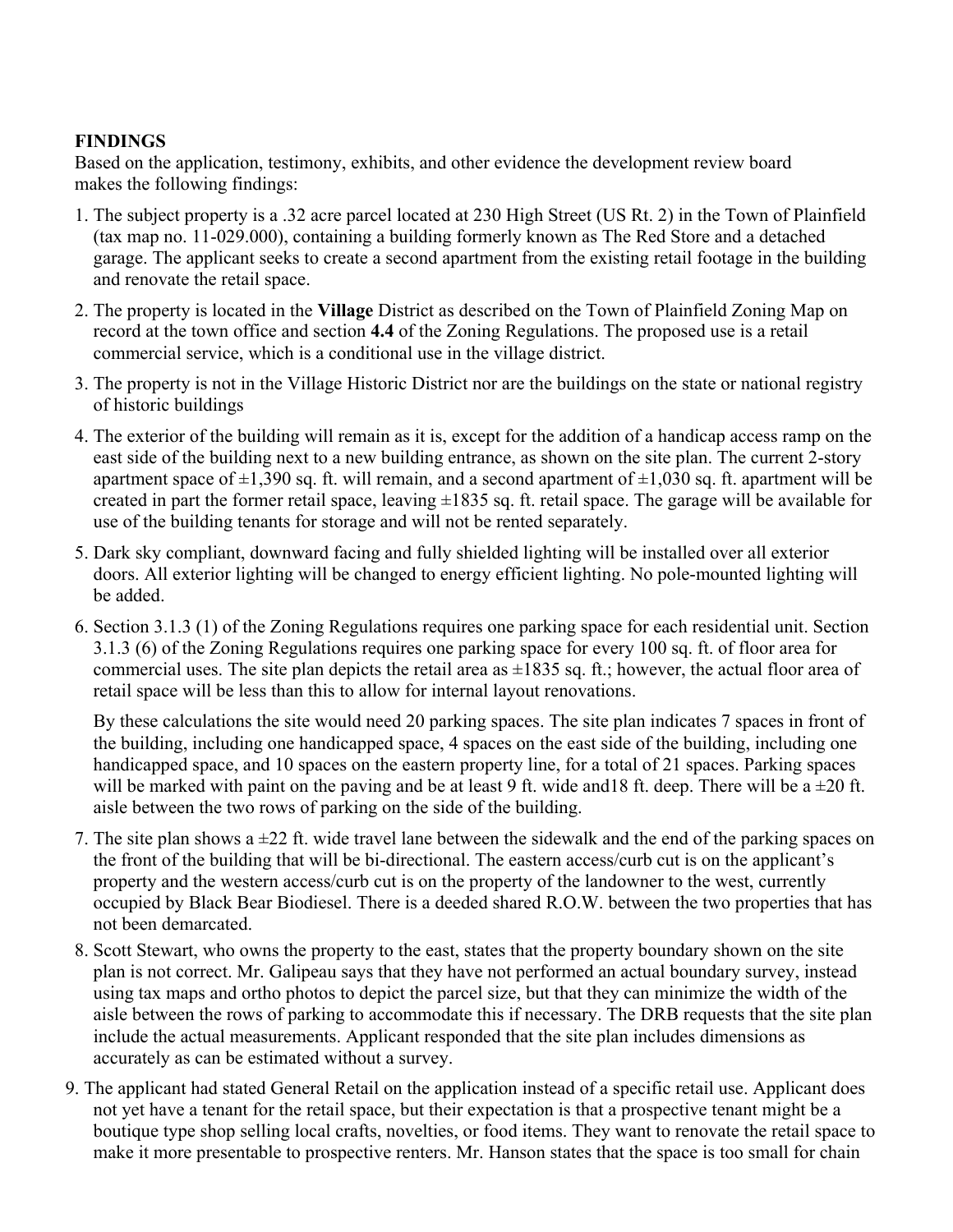## **FINDINGS**

Based on the application, testimony, exhibits, and other evidence the development review board makes the following findings:

- 1. The subject property is a .32 acre parcel located at 230 High Street (US Rt. 2) in the Town of Plainfield (tax map no. 11-029.000), containing a building formerly known as The Red Store and a detached garage. The applicant seeks to create a second apartment from the existing retail footage in the building and renovate the retail space.
- 2. The property is located in the **Village** District as described on the Town of Plainfield Zoning Map on record at the town office and section **4.4** of the Zoning Regulations. The proposed use is a retail commercial service, which is a conditional use in the village district.
- 3. The property is not in the Village Historic District nor are the buildings on the state or national registry of historic buildings
- 4. The exterior of the building will remain as it is, except for the addition of a handicap access ramp on the east side of the building next to a new building entrance, as shown on the site plan. The current 2-story apartment space of  $\pm 1,390$  sq. ft. will remain, and a second apartment of  $\pm 1,030$  sq. ft. apartment will be created in part the former retail space, leaving  $\pm 1835$  sq. ft. retail space. The garage will be available for use of the building tenants for storage and will not be rented separately.
- 5. Dark sky compliant, downward facing and fully shielded lighting will be installed over all exterior doors. All exterior lighting will be changed to energy efficient lighting. No pole-mounted lighting will be added.
- 6. Section 3.1.3 (1) of the Zoning Regulations requires one parking space for each residential unit. Section 3.1.3 (6) of the Zoning Regulations requires one parking space for every 100 sq. ft. of floor area for commercial uses. The site plan depicts the retail area as  $\pm 1835$  sq. ft.; however, the actual floor area of retail space will be less than this to allow for internal layout renovations.

By these calculations the site would need 20 parking spaces. The site plan indicates 7 spaces in front of the building, including one handicapped space, 4 spaces on the east side of the building, including one handicapped space, and 10 spaces on the eastern property line, for a total of 21 spaces. Parking spaces will be marked with paint on the paving and be at least 9 ft. wide and 18 ft. deep. There will be a  $\pm 20$  ft. aisle between the two rows of parking on the side of the building.

- 7. The site plan shows a  $\pm 22$  ft. wide travel lane between the sidewalk and the end of the parking spaces on the front of the building that will be bi-directional. The eastern access/curb cut is on the applicant's property and the western access/curb cut is on the property of the landowner to the west, currently occupied by Black Bear Biodiesel. There is a deeded shared R.O.W. between the two properties that has not been demarcated.
- 8. Scott Stewart, who owns the property to the east, states that the property boundary shown on the site plan is not correct. Mr. Galipeau says that they have not performed an actual boundary survey, instead using tax maps and ortho photos to depict the parcel size, but that they can minimize the width of the aisle between the rows of parking to accommodate this if necessary. The DRB requests that the site plan include the actual measurements. Applicant responded that the site plan includes dimensions as accurately as can be estimated without a survey.
- 9. The applicant had stated General Retail on the application instead of a specific retail use. Applicant does not yet have a tenant for the retail space, but their expectation is that a prospective tenant might be a boutique type shop selling local crafts, novelties, or food items. They want to renovate the retail space to make it more presentable to prospective renters. Mr. Hanson states that the space is too small for chain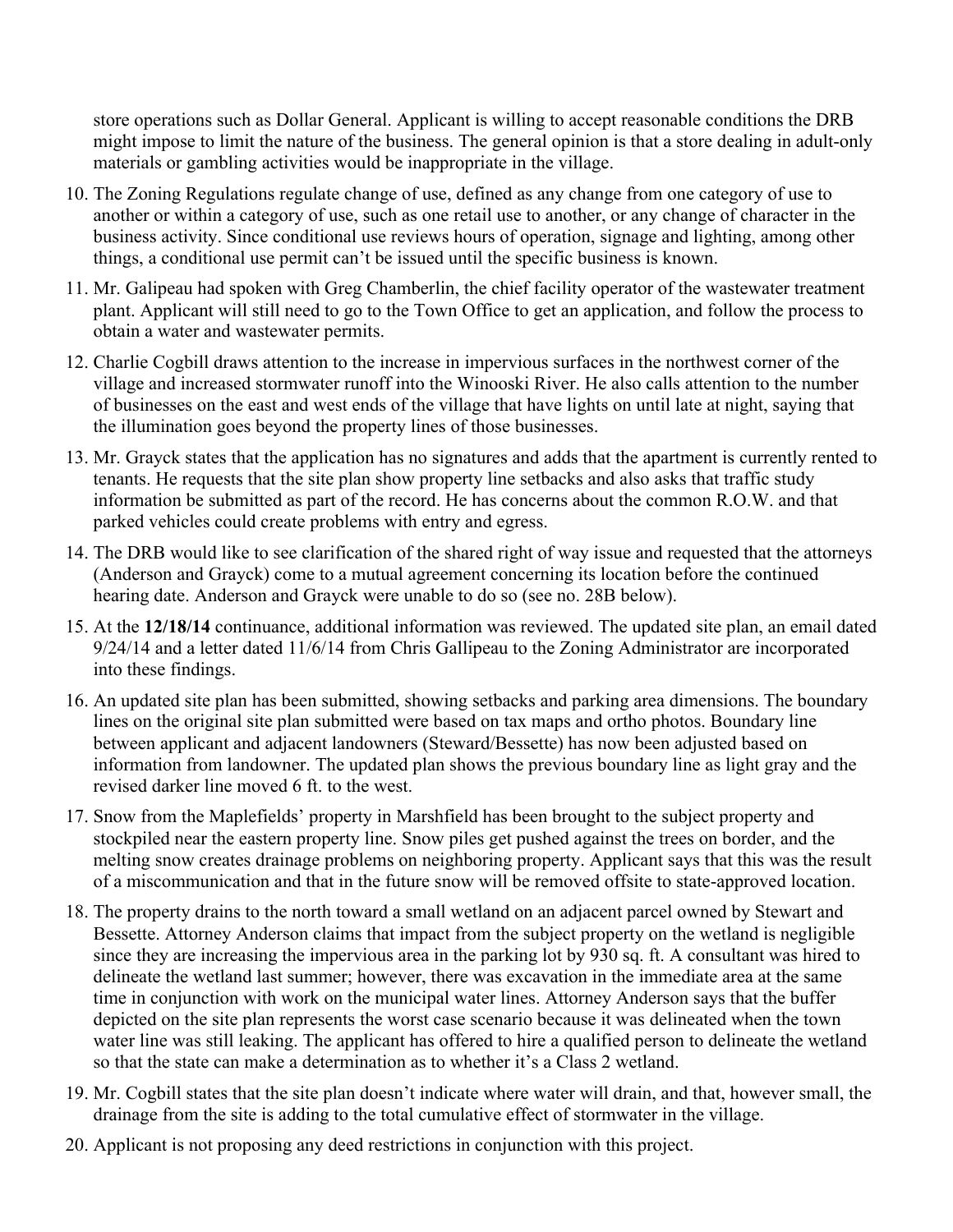store operations such as Dollar General. Applicant is willing to accept reasonable conditions the DRB might impose to limit the nature of the business. The general opinion is that a store dealing in adult-only materials or gambling activities would be inappropriate in the village.

- 10. The Zoning Regulations regulate change of use, defined as any change from one category of use to another or within a category of use, such as one retail use to another, or any change of character in the business activity. Since conditional use reviews hours of operation, signage and lighting, among other things, a conditional use permit can't be issued until the specific business is known.
- 11. Mr. Galipeau had spoken with Greg Chamberlin, the chief facility operator of the wastewater treatment plant. Applicant will still need to go to the Town Office to get an application, and follow the process to obtain a water and wastewater permits.
- 12. Charlie Cogbill draws attention to the increase in impervious surfaces in the northwest corner of the village and increased stormwater runoff into the Winooski River. He also calls attention to the number of businesses on the east and west ends of the village that have lights on until late at night, saying that the illumination goes beyond the property lines of those businesses.
- 13. Mr. Grayck states that the application has no signatures and adds that the apartment is currently rented to tenants. He requests that the site plan show property line setbacks and also asks that traffic study information be submitted as part of the record. He has concerns about the common R.O.W. and that parked vehicles could create problems with entry and egress.
- 14. The DRB would like to see clarification of the shared right of way issue and requested that the attorneys (Anderson and Grayck) come to a mutual agreement concerning its location before the continued hearing date. Anderson and Grayck were unable to do so (see no. 28B below).
- 15. At the **12/18/14** continuance, additional information was reviewed. The updated site plan, an email dated 9/24/14 and a letter dated 11/6/14 from Chris Gallipeau to the Zoning Administrator are incorporated into these findings.
- 16. An updated site plan has been submitted, showing setbacks and parking area dimensions. The boundary lines on the original site plan submitted were based on tax maps and ortho photos. Boundary line between applicant and adjacent landowners (Steward/Bessette) has now been adjusted based on information from landowner. The updated plan shows the previous boundary line as light gray and the revised darker line moved 6 ft. to the west.
- 17. Snow from the Maplefields' property in Marshfield has been brought to the subject property and stockpiled near the eastern property line. Snow piles get pushed against the trees on border, and the melting snow creates drainage problems on neighboring property. Applicant says that this was the result of a miscommunication and that in the future snow will be removed offsite to state-approved location.
- 18. The property drains to the north toward a small wetland on an adjacent parcel owned by Stewart and Bessette. Attorney Anderson claims that impact from the subject property on the wetland is negligible since they are increasing the impervious area in the parking lot by 930 sq. ft. A consultant was hired to delineate the wetland last summer; however, there was excavation in the immediate area at the same time in conjunction with work on the municipal water lines. Attorney Anderson says that the buffer depicted on the site plan represents the worst case scenario because it was delineated when the town water line was still leaking. The applicant has offered to hire a qualified person to delineate the wetland so that the state can make a determination as to whether it's a Class 2 wetland.
- 19. Mr. Cogbill states that the site plan doesn't indicate where water will drain, and that, however small, the drainage from the site is adding to the total cumulative effect of stormwater in the village.
- 20. Applicant is not proposing any deed restrictions in conjunction with this project.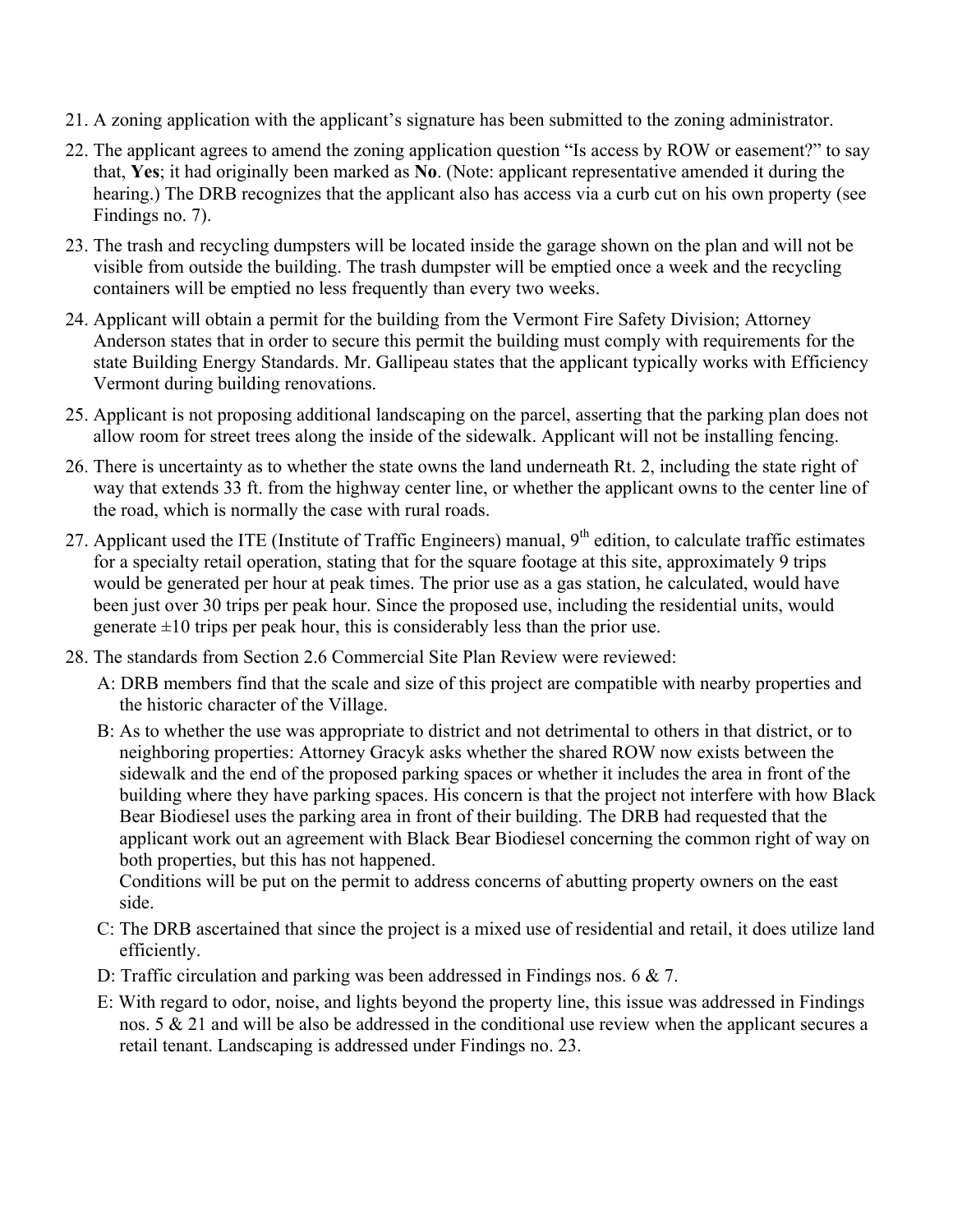- 21. A zoning application with the applicant's signature has been submitted to the zoning administrator.
- 22. The applicant agrees to amend the zoning application question "Is access by ROW or easement?" to say that, **Yes**; it had originally been marked as **No**. (Note: applicant representative amended it during the hearing.) The DRB recognizes that the applicant also has access via a curb cut on his own property (see Findings no. 7).
- 23. The trash and recycling dumpsters will be located inside the garage shown on the plan and will not be visible from outside the building. The trash dumpster will be emptied once a week and the recycling containers will be emptied no less frequently than every two weeks.
- 24. Applicant will obtain a permit for the building from the Vermont Fire Safety Division; Attorney Anderson states that in order to secure this permit the building must comply with requirements for the state Building Energy Standards. Mr. Gallipeau states that the applicant typically works with Efficiency Vermont during building renovations.
- 25. Applicant is not proposing additional landscaping on the parcel, asserting that the parking plan does not allow room for street trees along the inside of the sidewalk. Applicant will not be installing fencing.
- 26. There is uncertainty as to whether the state owns the land underneath Rt. 2, including the state right of way that extends 33 ft. from the highway center line, or whether the applicant owns to the center line of the road, which is normally the case with rural roads.
- 27. Applicant used the ITE (Institute of Traffic Engineers) manual, 9<sup>th</sup> edition, to calculate traffic estimates for a specialty retail operation, stating that for the square footage at this site, approximately 9 trips would be generated per hour at peak times. The prior use as a gas station, he calculated, would have been just over 30 trips per peak hour. Since the proposed use, including the residential units, would generate  $\pm 10$  trips per peak hour, this is considerably less than the prior use.
- 28. The standards from Section 2.6 Commercial Site Plan Review were reviewed:
	- A: DRB members find that the scale and size of this project are compatible with nearby properties and the historic character of the Village.
	- B: As to whether the use was appropriate to district and not detrimental to others in that district, or to neighboring properties: Attorney Gracyk asks whether the shared ROW now exists between the sidewalk and the end of the proposed parking spaces or whether it includes the area in front of the building where they have parking spaces. His concern is that the project not interfere with how Black Bear Biodiesel uses the parking area in front of their building. The DRB had requested that the applicant work out an agreement with Black Bear Biodiesel concerning the common right of way on both properties, but this has not happened.

Conditions will be put on the permit to address concerns of abutting property owners on the east side.

- C: The DRB ascertained that since the project is a mixed use of residential and retail, it does utilize land efficiently.
- D: Traffic circulation and parking was been addressed in Findings nos. 6 & 7.
- E: With regard to odor, noise, and lights beyond the property line, this issue was addressed in Findings nos. 5 & 21 and will be also be addressed in the conditional use review when the applicant secures a retail tenant. Landscaping is addressed under Findings no. 23.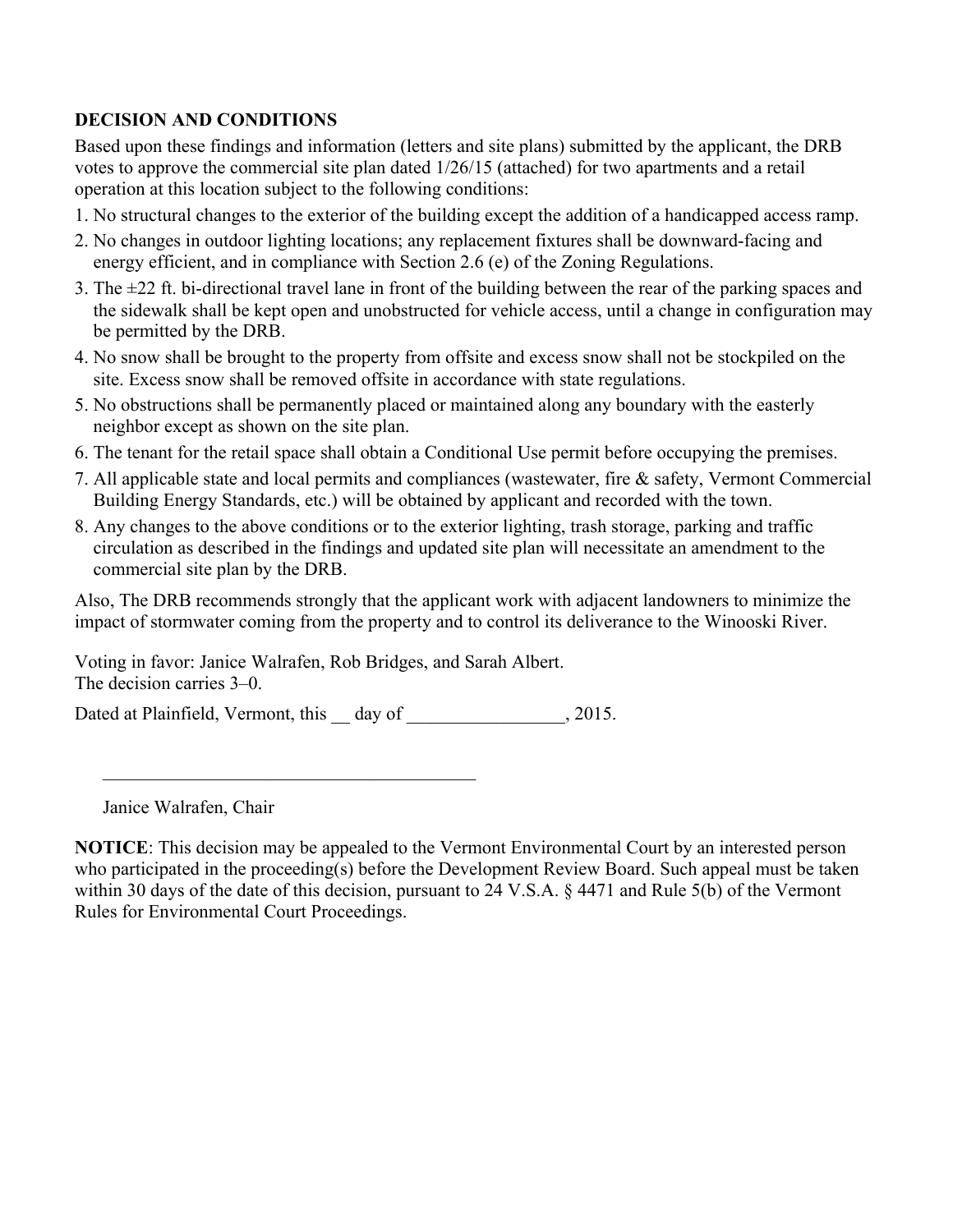## **DECISION AND CONDITIONS**

Based upon these findings and information (letters and site plans) submitted by the applicant, the DRB votes to approve the commercial site plan dated 1/26/15 (attached) for two apartments and a retail operation at this location subject to the following conditions:

- 1. No structural changes to the exterior of the building except the addition of a handicapped access ramp.
- 2. No changes in outdoor lighting locations; any replacement fixtures shall be downward-facing and energy efficient, and in compliance with Section 2.6 (e) of the Zoning Regulations.
- 3. The ±22 ft. bi-directional travel lane in front of the building between the rear of the parking spaces and the sidewalk shall be kept open and unobstructed for vehicle access, until a change in configuration may be permitted by the DRB.
- 4. No snow shall be brought to the property from offsite and excess snow shall not be stockpiled on the site. Excess snow shall be removed offsite in accordance with state regulations.
- 5. No obstructions shall be permanently placed or maintained along any boundary with the easterly neighbor except as shown on the site plan.
- 6. The tenant for the retail space shall obtain a Conditional Use permit before occupying the premises.
- 7. All applicable state and local permits and compliances (wastewater, fire & safety, Vermont Commercial Building Energy Standards, etc.) will be obtained by applicant and recorded with the town.
- 8. Any changes to the above conditions or to the exterior lighting, trash storage, parking and traffic circulation as described in the findings and updated site plan will necessitate an amendment to the commercial site plan by the DRB.

Also, The DRB recommends strongly that the applicant work with adjacent landowners to minimize the impact of stormwater coming from the property and to control its deliverance to the Winooski River.

Voting in favor: Janice Walrafen, Rob Bridges, and Sarah Albert. The decision carries 3–0.

 $\mathcal{L}_\text{max}$  , and the contract of the contract of the contract of the contract of the contract of the contract of the contract of the contract of the contract of the contract of the contract of the contract of the contr

Dated at Plainfield, Vermont, this day of  $\qquad \qquad$ , 2015.

Janice Walrafen, Chair

**NOTICE**: This decision may be appealed to the Vermont Environmental Court by an interested person who participated in the proceeding(s) before the Development Review Board. Such appeal must be taken within 30 days of the date of this decision, pursuant to 24 V.S.A. § 4471 and Rule 5(b) of the Vermont Rules for Environmental Court Proceedings.